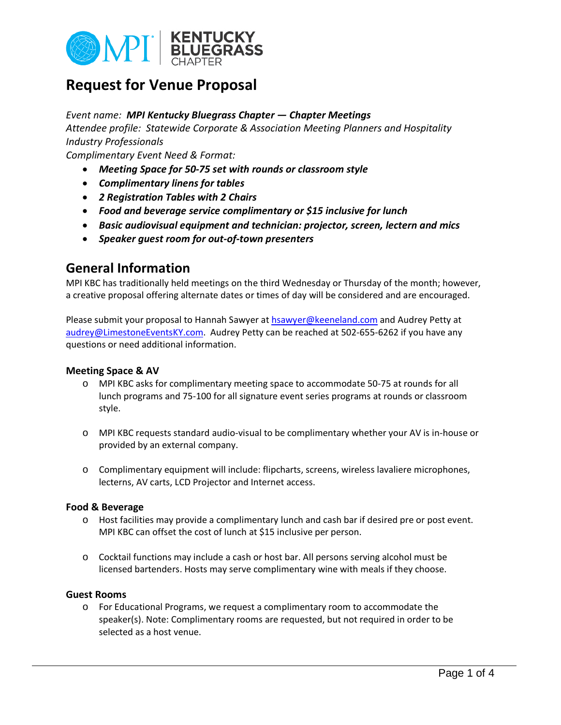

# **Request for Venue Proposal**

### *Event name: MPI Kentucky Bluegrass Chapter — Chapter Meetings*

*Attendee profile: Statewide Corporate & Association Meeting Planners and Hospitality Industry Professionals*

*Complimentary Event Need & Format:*

- *Meeting Space for 50-75 set with rounds or classroom style*
- *Complimentary linens for tables*
- *2 Registration Tables with 2 Chairs*
- *Food and beverage service complimentary or \$15 inclusive for lunch*
- *Basic audiovisual equipment and technician: projector, screen, lectern and mics*
- *Speaker guest room for out-of-town presenters*

## **General Information**

MPI KBC has traditionally held meetings on the third Wednesday or Thursday of the month; however, a creative proposal offering alternate dates or times of day will be considered and are encouraged.

Please submit your proposal to Hannah Sawyer a[t hsawyer@keeneland.com](mailto:hsawyer@keeneland.com) and Audrey Petty at [audrey@LimestoneEventsKY.com.](mailto:audrey@LimestoneEventsKY.com) Audrey Petty can be reached at 502-655-6262 if you have any questions or need additional information.

### **Meeting Space & AV**

- o MPI KBC asks for complimentary meeting space to accommodate 50-75 at rounds for all lunch programs and 75-100 for all signature event series programs at rounds or classroom style.
- o MPI KBC requests standard audio-visual to be complimentary whether your AV is in-house or provided by an external company.
- o Complimentary equipment will include: flipcharts, screens, wireless lavaliere microphones, lecterns, AV carts, LCD Projector and Internet access.

#### **Food & Beverage**

- o Host facilities may provide a complimentary lunch and cash bar if desired pre or post event. MPI KBC can offset the cost of lunch at \$15 inclusive per person.
- o Cocktail functions may include a cash or host bar. All persons serving alcohol must be licensed bartenders. Hosts may serve complimentary wine with meals if they choose.

### **Guest Rooms**

o For Educational Programs, we request a complimentary room to accommodate the speaker(s). Note: Complimentary rooms are requested, but not required in order to be selected as a host venue.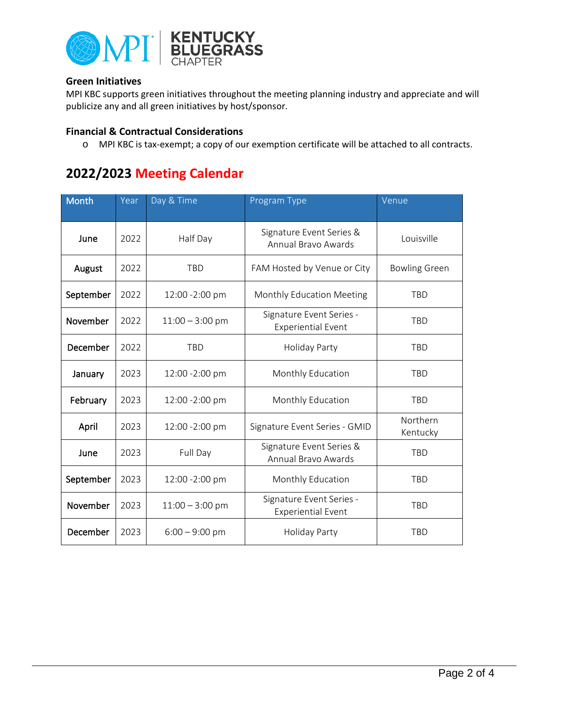

### **Green Initiatives**

MPI KBC supports green initiatives throughout the meeting planning industry and appreciate and will publicize any and all green initiatives by host/sponsor.

### **Financial & Contractual Considerations**

o MPI KBC is tax-exempt; a copy of our exemption certificate will be attached to all contracts.

# **2022/2023 Meeting Calendar**

| <b>Month</b> | Year | Day & Time        | Program Type                                          | Venue                |
|--------------|------|-------------------|-------------------------------------------------------|----------------------|
| June         | 2022 | Half Day          | Signature Event Series &<br>Annual Bravo Awards       | Louisville           |
| August       | 2022 | <b>TBD</b>        | FAM Hosted by Venue or City                           | <b>Bowling Green</b> |
| September    | 2022 | 12:00 -2:00 pm    | Monthly Education Meeting                             | <b>TBD</b>           |
| November     | 2022 | $11:00 - 3:00$ pm | Signature Event Series -<br><b>Experiential Event</b> | <b>TBD</b>           |
| December     | 2022 | <b>TBD</b>        | Holiday Party                                         | <b>TBD</b>           |
| January      | 2023 | 12:00 -2:00 pm    | Monthly Education                                     | <b>TBD</b>           |
| February     | 2023 | 12:00 -2:00 pm    | Monthly Education                                     | <b>TBD</b>           |
| April        | 2023 | 12:00 -2:00 pm    | Signature Event Series - GMID                         | Northern<br>Kentucky |
| June         | 2023 | Full Day          | Signature Event Series &<br>Annual Bravo Awards       | <b>TBD</b>           |
| September    | 2023 | 12:00 -2:00 pm    | Monthly Education                                     | <b>TBD</b>           |
| November     | 2023 | $11:00 - 3:00$ pm | Signature Event Series -<br><b>Experiential Event</b> | <b>TBD</b>           |
| December     | 2023 | $6:00 - 9:00$ pm  | Holiday Party                                         | <b>TBD</b>           |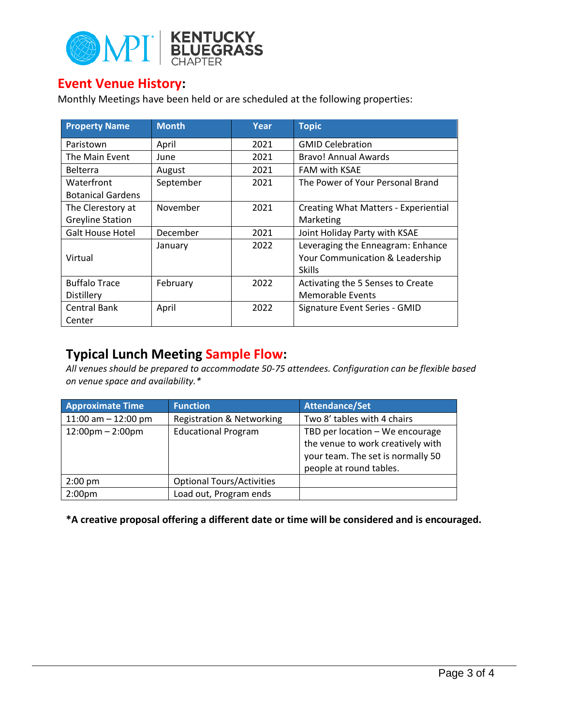

## **Event Venue History:**

Monthly Meetings have been held or are scheduled at the following properties:

| <b>Property Name</b>     | <b>Month</b> | Year | <b>Topic</b>                                                                          |
|--------------------------|--------------|------|---------------------------------------------------------------------------------------|
| Paristown                | April        | 2021 | <b>GMID Celebration</b>                                                               |
| The Main Event           | June         | 2021 | Bravo! Annual Awards                                                                  |
| <b>Belterra</b>          | August       | 2021 | <b>FAM with KSAE</b>                                                                  |
| Waterfront               | September    | 2021 | The Power of Your Personal Brand                                                      |
| <b>Botanical Gardens</b> |              |      |                                                                                       |
| The Clerestory at        | November     | 2021 | Creating What Matters - Experiential                                                  |
| <b>Greyline Station</b>  |              |      | Marketing                                                                             |
| <b>Galt House Hotel</b>  | December     | 2021 | Joint Holiday Party with KSAE                                                         |
| Virtual                  | January      | 2022 | Leveraging the Enneagram: Enhance<br>Your Communication & Leadership<br><b>Skills</b> |
| <b>Buffalo Trace</b>     | February     | 2022 | Activating the 5 Senses to Create                                                     |
| Distillery               |              |      | <b>Memorable Events</b>                                                               |
| Central Bank             | April        | 2022 | Signature Event Series - GMID                                                         |
| Center                   |              |      |                                                                                       |

## **Typical Lunch Meeting Sample Flow:**

*All venues should be prepared to accommodate 50-75 attendees. Configuration can be flexible based on venue space and availability.\**

| <b>Approximate Time</b>            | <b>Function</b>                      | <b>Attendance/Set</b>             |
|------------------------------------|--------------------------------------|-----------------------------------|
| 11:00 am $-$ 12:00 pm              | <b>Registration &amp; Networking</b> | Two 8' tables with 4 chairs       |
| $12:00 \text{pm} - 2:00 \text{pm}$ | <b>Educational Program</b>           | TBD per location - We encourage   |
|                                    |                                      | the venue to work creatively with |
|                                    |                                      | your team. The set is normally 50 |
|                                    |                                      | people at round tables.           |
| $2:00$ pm                          | <b>Optional Tours/Activities</b>     |                                   |
| 2:00 <sub>pm</sub>                 | Load out, Program ends               |                                   |

**\*A creative proposal offering a different date or time will be considered and is encouraged.**